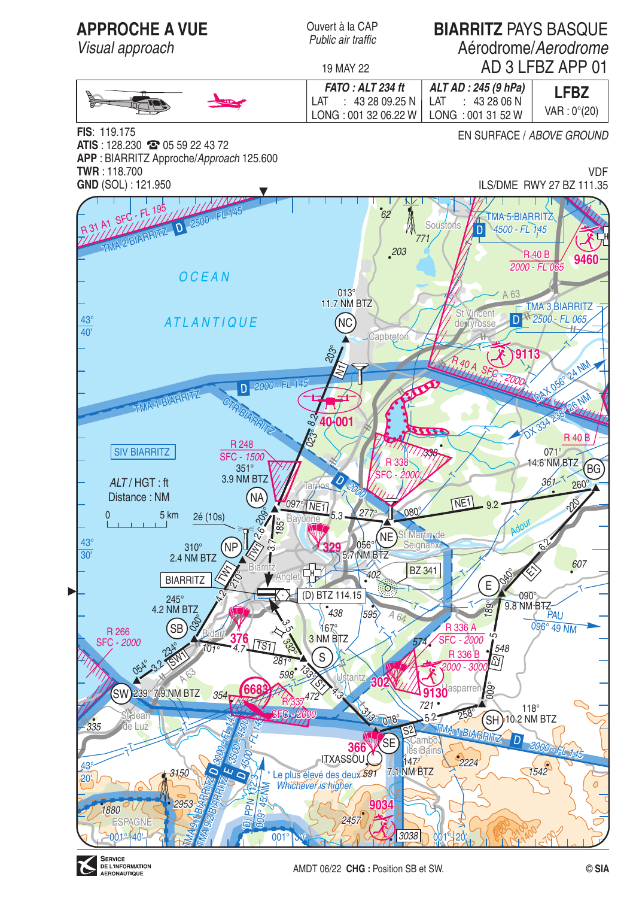

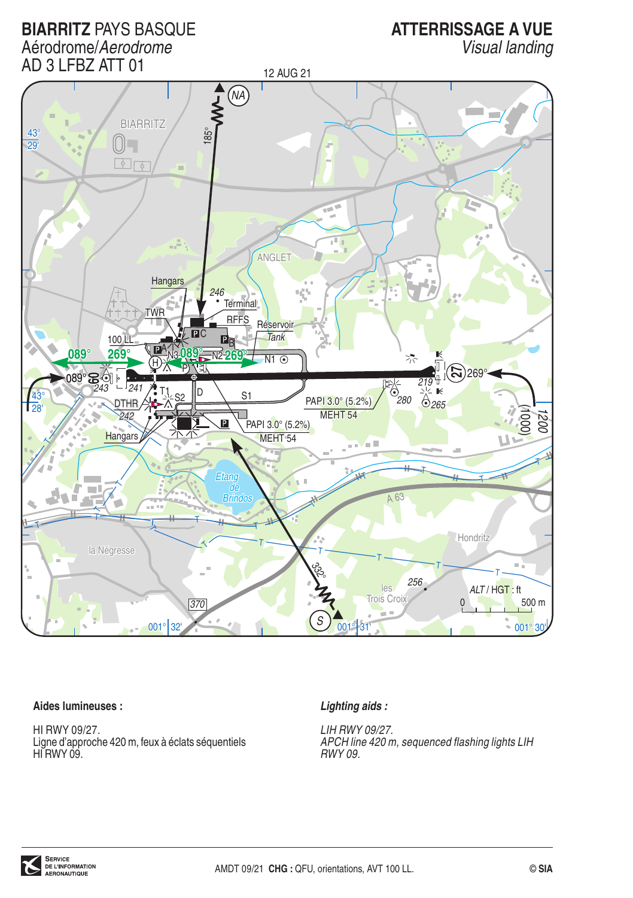**BIARRITZ PAYS BASQUE** Aérodrome/Aerodrome

# **ATTERRISSAGE A VUE**

Visual landing



### Aides lumineuses :

HI RWY 09/27. Ligne d'approche 420 m, feux à éclats séquentiels HI RWY 09

### Lighting aids:

LIH RWY 09/27. APCH line 420 m, sequenced flashing lights LIH  $RWY09$ 

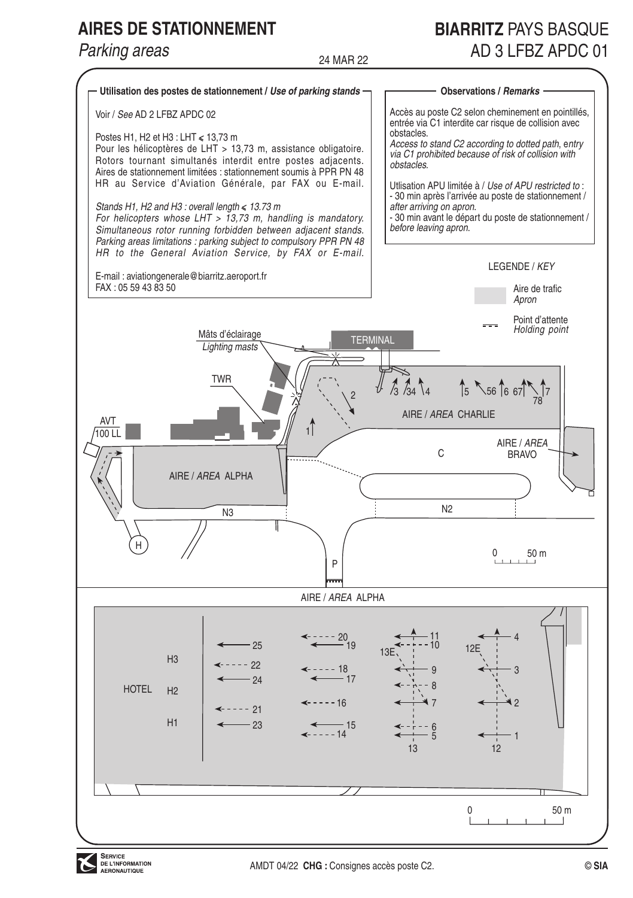# **AIRES DE STATIONNEMENT**

# Parking areas

# **BIARRITZ PAYS BASOLIF** AD 3 LEBZ APDC 01

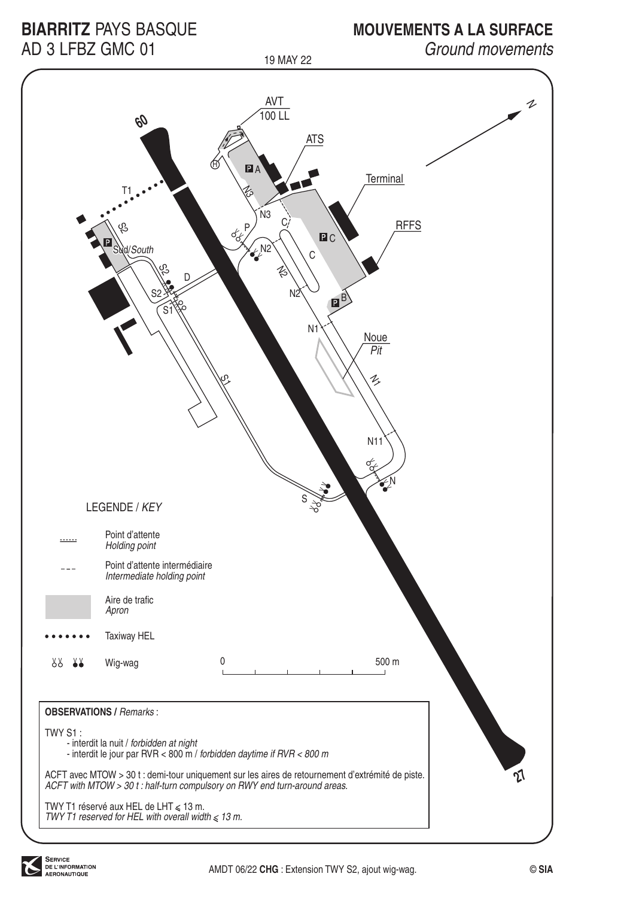# **BIARRITZ PAYS BASQUE** AD 3 I FBZ GMC 01

# **MOUVEMENTS A LA SURFACE**

Ground movements

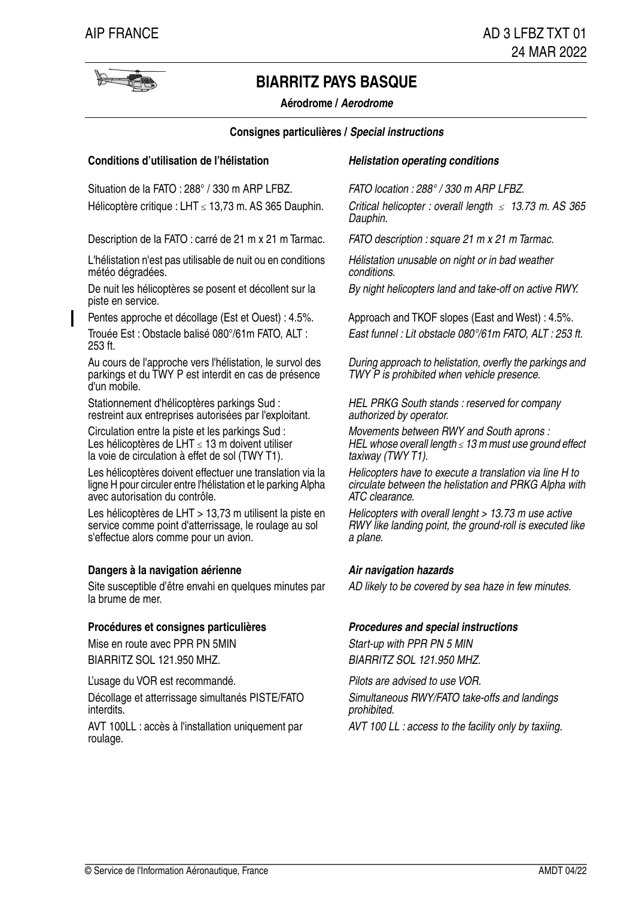

**Aérodrome / Aerodrome**

#### **Consignes particulières / Special instructions**

### **Conditions d'utilisation de l'hélistation**<br> **Helistation operating conditions**

Situation de la FATO : 288° / 330 m ARP LFBZ. FATO location : 288° / 330 m ARP LFBZ. Hélicoptère critique : LHT ≤ 13,73 m. AS 365 Dauphin.

Description de la FATO : carré de 21 m x 21 m Tarmac. FATO description : square 21 m x 21 m Tarmac.

L'hélistation n'est pas utilisable de nuit ou en conditions météo dégradées.

De nuit les hélicoptères se posent et décollent sur la By night helicopters land and take-off on active RWY. piste en service.

253 ft.

Au cours de l'approche vers l'hélistation, le survol des parkings et du TWY P est interdit en cas de présence d'un mobile.

Stationnement d'hélicoptères parkings Sud : restreint aux entreprises autorisées par l'exploitant.

Circulation entre la piste et les parkings Sud : Les hélicoptères de LHT ≤ 13 m doivent utiliser la voie de circulation à effet de sol (TWY T1).

Les hélicoptères doivent effectuer une translation via la ligne H pour circuler entre l'hélistation et le parking Alpha avec autorisation du contrôle.

Les hélicoptères de LHT > 13,73 m utilisent la piste en service comme point d'atterrissage, le roulage au sol s'effectue alors comme pour un avion.

### **Dangers à la navigation aérienne Air navigation hazards**

Site susceptible d'être envahi en quelques minutes par AD likely to be covered by sea haze in few minutes. la brume de mer.

### **Procédures et consignes particulières Procedures and special instructions**

Mise en route avec PPR PN 5MIN Start-up with PPR PN 5 MIN BIARRITZ SOL 121.950 MHZ. BIARRITZ SOL 121.950 MHZ.

L'usage du VOR est recommandé.  $Pilots$  are advised to use VOR.

Décollage et atterrissage simultanés PISTE/FATO interdits.

AVT 100LL : accès à l'installation uniquement par AVT 100 LL : access to the facility only by taxiing. roulage.

Critical helicopter : overall length  $\langle 13.73 \rangle$  m. AS 365 Dauphin.

Hélistation unusable on night or in bad weather conditions.

Pentes approche et décollage (Est et Ouest) : 4.5%. Approach and TKOF slopes (East and West) : 4.5%. Trouée Est : Obstacle balisé 080°/61m FATO, ALT : East funnel : Lit obstacle 080°/61m FATO, ALT : 253 ft.

> During approach to helistation, overfly the parkings and TWY P is prohibited when vehicle presence.

HEL PRKG South stands : reserved for company authorized by operator.

Movements between RWY and South aprons : HEL whose overall length < 13 m must use ground effect taxiway (TWY T1).

Helicopters have to execute a translation via line H to circulate between the helistation and PRKG Alpha with ATC clearance.

Helicopters with overall lenght > 13.73 m use active RWY like landing point, the ground-roll is executed like a plane.

Simultaneous RWY/FATO take-offs and landings prohibited.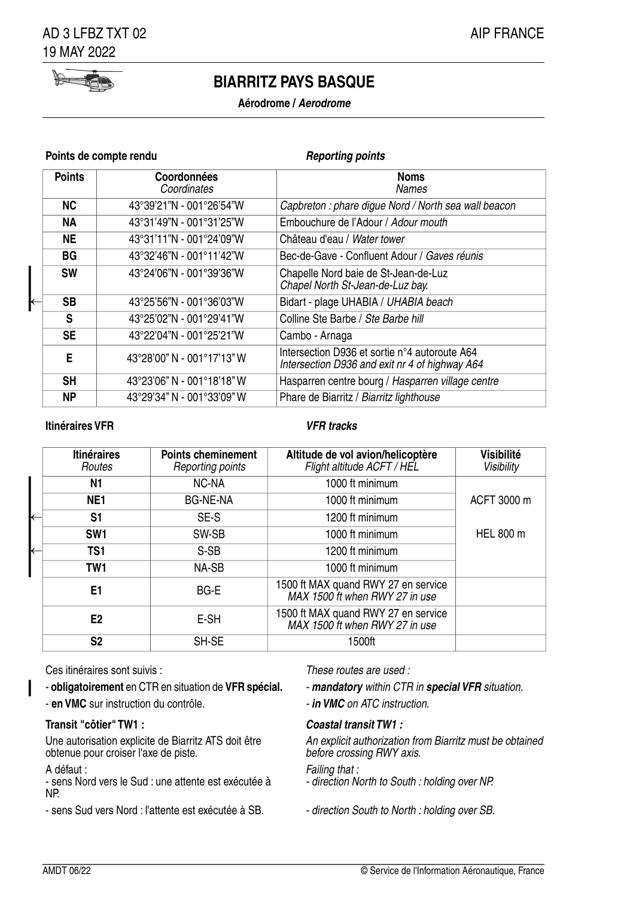

### **Aérodrome / Aerodrome**

#### **Points de compte rendu Reporting points**

|  | <b>Points</b> | Coordonnées<br>Coordinates | Noms<br>Names                                                                                   |
|--|---------------|----------------------------|-------------------------------------------------------------------------------------------------|
|  | <b>NC</b>     | 43°39'21"N - 001°26'54"W   | Capbreton : phare digue Nord / North sea wall beacon                                            |
|  | <b>NA</b>     | 43°31'49"N - 001°31'25"W   | Embouchure de l'Adour / Adour mouth                                                             |
|  | <b>NE</b>     | 43°31'11"N - 001°24'09"W   | Château d'eau / Water tower                                                                     |
|  | ВG            | 43°32'46"N - 001°11'42"W   | Bec-de-Gave - Confluent Adour / Gaves réunis                                                    |
|  | <b>SW</b>     | 43°24'06"N - 001°39'36"W   | Chapelle Nord baie de St-Jean-de-Luz<br>Chapel North St-Jean-de-Luz bay.                        |
|  | <b>SB</b>     | 43°25'56"N - 001°36'03"W   | Bidart - plage UHABIA / UHABIA beach                                                            |
|  | s             | 43°25'02"N - 001°29'41"W   | Colline Ste Barbe / Ste Barbe hill                                                              |
|  | <b>SE</b>     | 43°22'04"N - 001°25'21"W   | Cambo - Arnaga                                                                                  |
|  | E             | 43°28'00" N - 001°17'13" W | Intersection D936 et sortie n°4 autoroute A64<br>Intersection D936 and exit nr 4 of highway A64 |
|  | SΗ            | 43°23'06" N - 001°18'18" W | Hasparren centre bourg / Hasparren village centre                                               |
|  | ΝP            | 43°29'34" N - 001°33'09" W | Phare de Biarritz / Biarritz lighthouse                                                         |

### **Itinéraires VFR VFR tracks**

| <b>Itinéraires</b><br>Routes | <b>Points cheminement</b><br>Reporting points | Altitude de vol avion/helicoptère<br>Flight altitude ACFT / HEL       | Visibilité<br>Visibility |
|------------------------------|-----------------------------------------------|-----------------------------------------------------------------------|--------------------------|
| N1                           | NC-NA                                         | 1000 ft minimum                                                       |                          |
| NE <sub>1</sub>              | <b>BG-NE-NA</b>                               | 1000 ft minimum                                                       | ACFT 3000 m              |
| S1                           | SE-S                                          | 1200 ft minimum                                                       |                          |
| SW <sub>1</sub>              | SW-SB                                         | 1000 ft minimum                                                       | HEL 800 m                |
| TS <sub>1</sub>              | S-SB                                          | 1200 ft minimum                                                       |                          |
| TW <sub>1</sub>              | NA-SB                                         | 1000 ft minimum                                                       |                          |
| E1                           | BG-E                                          | 1500 ft MAX quand RWY 27 en service<br>MAX 1500 ft when RWY 27 in use |                          |
| E2                           | E-SH                                          | 1500 ft MAX quand RWY 27 en service<br>MAX 1500 ft when RWY 27 in use |                          |
| S <sub>2</sub>               | SH-SE                                         | 1500ft                                                                |                          |

Ces itinéraires sont suivis : These routes are used :

- **obligatoirement** en CTR en situation de **VFR spécial. mandatory** within CTR in **special VFR** situation.
- **en VMC** sur instruction du contrôle.  $\blacksquare$  **in VMC** on ATC instruction.

### **Transit "côtier" TW1 : Coastal transit TW1 :**

Une autorisation explicite de Biarritz ATS doit être obtenue pour croiser l'axe de piste.

#### A défaut :

- sens Nord vers le Sud : une attente est exécutée à NP.

- sens Sud vers Nord : l'attente est exécutée à SB. - direction South to North : holding over SB.

- 
- 

An explicit authorization from Biarritz must be obtained before crossing RWY axis.

#### Failing that :

- direction North to South : holding over NP.
-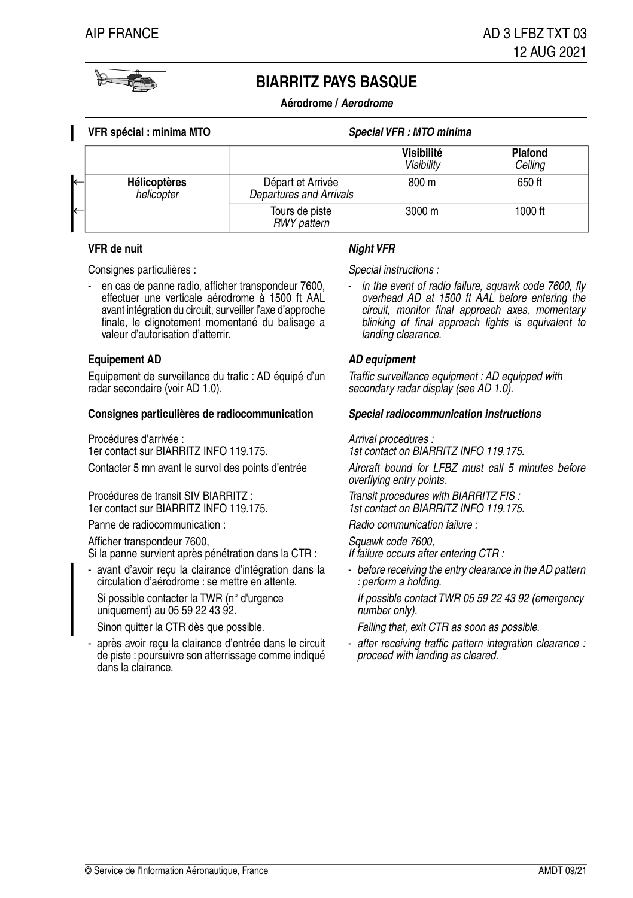

**Aérodrome / Aerodrome**

| VFR spécial : minima MTO          |                                              | Special VFR : MTO minima        |                    |
|-----------------------------------|----------------------------------------------|---------------------------------|--------------------|
|                                   |                                              | Visibilité<br><b>Visibility</b> | Plafond<br>Ceiling |
| <b>Hélicoptères</b><br>helicopter | Départ et Arrivée<br>Departures and Arrivals | 800 m                           | 650 ft             |
|                                   | Tours de piste<br><b>RWY</b> pattern         | $3000 \; \text{m}$              | 1000 ft            |

#### **VFR de nuit Night VFR**

Consignes particulières :  $\qquad \qquad$  Special instructions :

en cas de panne radio, afficher transpondeur 7600, effectuer une verticale aérodrome à 1500 ft AAL avant intégration du circuit, surveiller l'axe d'approche finale, le clignotement momentané du balisage a valeur d'autorisation d'atterrir. -

#### **Equipement AD AD equipment**

Equipement de surveillance du trafic : AD équipé d'un radar secondaire (voir AD 1.0).

#### **Consignes particulières de radiocommunication Special radiocommunication instructions**

Procédures d'arrivée : 1er contact sur BIARRITZ INFO 119.175. Contacter 5 mn avant le survol des points d'entrée

Procédures de transit SIV BIARRITZ : 1er contact sur BIARRITZ INFO 119.175.

Panne de radiocommunication : and results and results and results and results and results and results and results and results and results and results and results and results and results and results and results and results

Afficher transpondeur 7600,

Si la panne survient après pénétration dans la CTR :

avant d'avoir reçu la clairance d'intégration dans la circulation d'aérodrome : se mettre en attente. -

Si possible contacter la TWR (n° d'urgence uniquement) au 05 59 22 43 92.

après avoir reçu la clairance d'entrée dans le circuit de piste : poursuivre son atterrissage comme indiqué dans la clairance. -

in the event of radio failure, squawk code 7600, fly overhead AD at 1500 ft AAL before entering the circuit, monitor final approach axes, momentary blinking of final approach lights is equivalent to landing clearance.

Traffic surveillance equipment : AD equipped with secondary radar display (see AD 1.0).

Arrival procedures :

1st contact on BIARRITZ INFO 119.175.

Aircraft bound for LFBZ must call 5 minutes before overflying entry points.

Transit procedures with BIARRITZ FIS : 1st contact on BIARRITZ INFO 119.175.

Squawk code 7600,

If failure occurs after entering CTR :

- before receiving the entry clearance in the AD pattern : perform a holding.

If possible contact TWR 05 59 22 43 92 (emergency  $n$ *imber only*).

Sinon quitter la CTR dès que possible. Failing that, exit CTR as soon as possible.

after receiving traffic pattern integration clearance : proceed with landing as cleared.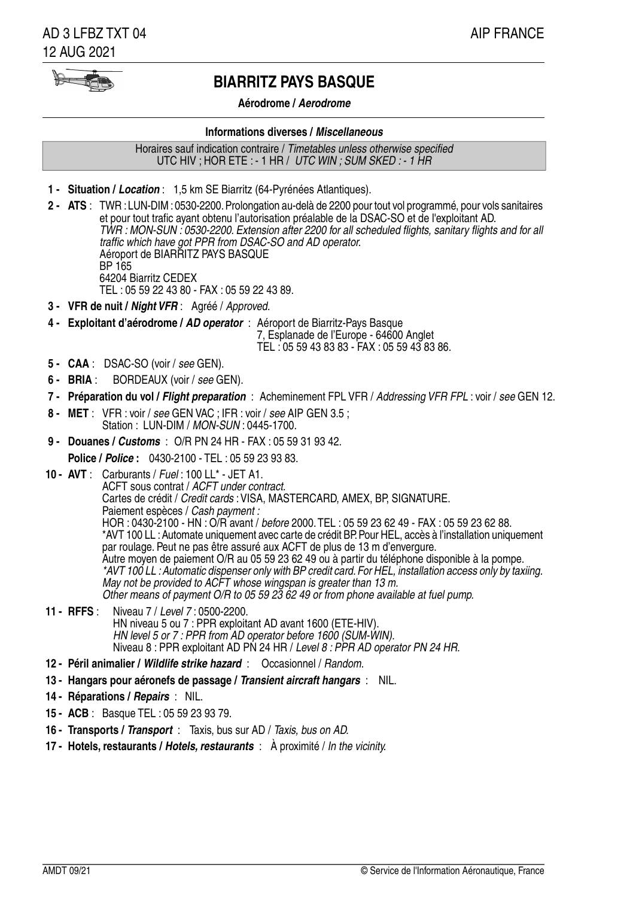$\blacktriangleright$ 

### **Aérodrome / Aerodrome**

#### **Informations diverses / Miscellaneous**

Horaires sauf indication contraire / Timetables unless otherwise specified UTC HIV ; HOR ETE : - 1 HR / UTC WIN ; SUM SKED : - 1 HR

- **1 - Situation / Location** : 1,5 km SE Biarritz (64-Pyrénées Atlantiques).
- TWR : LUN-DIM : 0530-2200. Prolongation au-delà de 2200 pour tout vol programmé, pour vols sanitaires **2 - ATS** : et pour tout trafic ayant obtenu l'autorisation préalable de la DSAC-SO et de l'exploitant AD. TWR : MON-SUN : 0530-2200. Extension after 2200 for all scheduled flights, sanitary flights and for all traffic which have got PPR from DSAC-SO and AD operator. Aéroport de BIARRITZ PAYS BASQUE BP 165 64204 Biarritz CEDEX TEL : 05 59 22 43 80 - FAX : 05 59 22 43 89.
- **3 - VFR de nuit / Night VFR** : Agréé / Approved.
- 4 Exploitant d'aérodrome / AD operator : Aéroport de Biarritz-Pays Basque 7, Esplanade de l'Europe - 64600 Anglet TEL : 05 59 43 83 83 - FAX : 05 59 43 83 86.
- **5 - CAA** : DSAC-SO (voir / see GEN).
- **6 - BRIA** : BORDEAUX (voir / see GEN).
- **7 - Préparation du vol / Flight preparation** : Acheminement FPL VFR / Addressing VFR FPL : voir / see GEN 12.
- **8 -** MET : VFR : voir / see GEN VAC ; IFR : voir / see AIP GEN 3.5 ; Station : LUN-DIM / MON-SUN : 0445-1700.
- **9 - Douanes / Customs** : O/R PN 24 HR FAX : 05 59 31 93 42.

**Police / Police :** 0430-2100 - TEL : 05 59 23 93 83.

- Carburants / Fuel : 100 LL\* JET A1. **10 - AVT** : ACFT sous contrat / ACFT under contract. Cartes de crédit / Credit cards : VISA, MASTERCARD, AMEX, BP, SIGNATURE. Paiement espèces / Cash payment : HOR : 0430-2100 - HN : O/R avant / before 2000.TEL : 05 59 23 62 49 - FAX : 05 59 23 62 88. \*AVT 100 LL : Automate uniquement avec carte de crédit BP. Pour HEL, accès à l'installation uniquement par roulage. Peut ne pas être assuré aux ACFT de plus de 13 m d'envergure. Autre moyen de paiement O/R au 05 59 23 62 49 ou à partir du téléphone disponible à la pompe. \*AVT 100 LL : Automatic dispenser only with BP credit card. For HEL, installation access only by taxiing. May not be provided to ACFT whose wingspan is greater than 13 m. Other means of payment O/R to 05 59 23 62 49 or from phone available at fuel pump.
- Niveau 7 / Level 7 : 0500-2200. HN niveau 5 ou 7 : PPR exploitant AD avant 1600 (ETE-HIV). HN level 5 or 7 : PPR from AD operator before 1600 (SUM-WIN). Niveau 8 : PPR exploitant AD PN 24 HR / Level 8 : PPR AD operator PN 24 HR. **11 - RFFS** :
- **12 - Péril animalier / Wildlife strike hazard** : Occasionnel / Random.
- **13 - Hangars pour aéronefs de passage / Transient aircraft hangars** : NIL.
- **14 - Réparations / Repairs** : NIL.
- **15 - ACB** : Basque TEL : 05 59 23 93 79.
- **16 - Transports / Transport** : Taxis, bus sur AD / Taxis, bus on AD.
- **17 - Hotels, restaurants / Hotels, restaurants** : À proximité / In the vicinity.